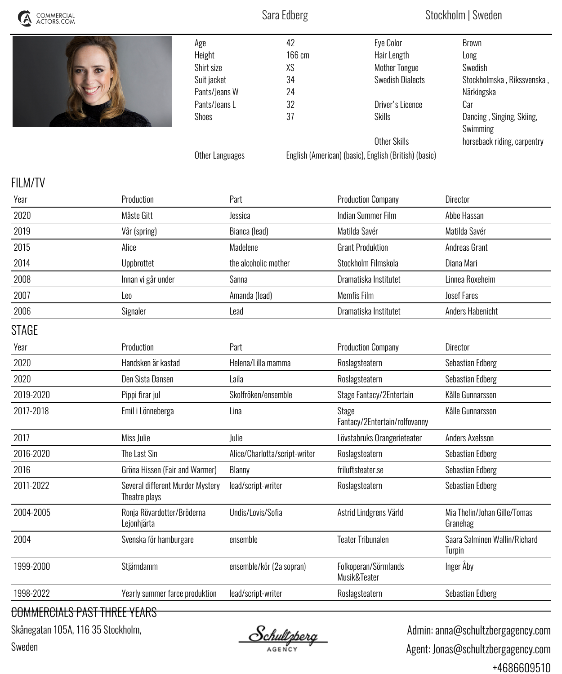| COMMERCIAL<br>ACTORS.COM |                                                                                              | Sara Edberg                   |                                            | Stockholm   Sweden                                                                                                                                                                               |                                                                                                                                                            |
|--------------------------|----------------------------------------------------------------------------------------------|-------------------------------|--------------------------------------------|--------------------------------------------------------------------------------------------------------------------------------------------------------------------------------------------------|------------------------------------------------------------------------------------------------------------------------------------------------------------|
|                          | Age<br>Height<br>Shirt size<br>Suit jacket<br>Pants/Jeans W<br>Pants/Jeans L<br><b>Shoes</b> | Other Languages               | 42<br>166 cm<br>XS<br>34<br>24<br>32<br>37 | Eye Color<br>Hair Length<br><b>Mother Tongue</b><br><b>Swedish Dialects</b><br>Driver's Licence<br><b>Skills</b><br><b>Other Skills</b><br>English (American) (basic), English (British) (basic) | <b>Brown</b><br>Long<br>Swedish<br>Stockholmska, Rikssvenska,<br>Närkingska<br>Car<br>Dancing, Singing, Skiing,<br>Swimming<br>horseback riding, carpentry |
| <b>FILM/TV</b>           |                                                                                              |                               |                                            |                                                                                                                                                                                                  |                                                                                                                                                            |
| Year                     | Production                                                                                   | Part                          |                                            | <b>Production Company</b>                                                                                                                                                                        | <b>Director</b>                                                                                                                                            |
| 2020                     | Måste Gitt                                                                                   | Jessica                       |                                            | <b>Indian Summer Film</b>                                                                                                                                                                        | Abbe Hassan                                                                                                                                                |
| 2019                     | Vår (spring)                                                                                 | Bianca (lead)                 |                                            | Matilda Savér                                                                                                                                                                                    | Matilda Savér                                                                                                                                              |
| 2015                     | Alice                                                                                        | Madelene                      |                                            | <b>Grant Produktion</b>                                                                                                                                                                          | Andreas Grant                                                                                                                                              |
| 2014                     | Uppbrottet                                                                                   | the alcoholic mother          |                                            | Stockholm Filmskola                                                                                                                                                                              | Diana Mari                                                                                                                                                 |
| 2008                     | Innan vi går under                                                                           | Sanna                         |                                            | Dramatiska Institutet                                                                                                                                                                            | Linnea Roxeheim                                                                                                                                            |
| 2007                     | Leo                                                                                          | Amanda (lead)                 |                                            | Memfis Film                                                                                                                                                                                      | <b>Josef Fares</b>                                                                                                                                         |
| 2006                     | Signaler                                                                                     | Lead                          |                                            | Dramatiska Institutet                                                                                                                                                                            | <b>Anders Habenicht</b>                                                                                                                                    |
| STAGE                    |                                                                                              |                               |                                            |                                                                                                                                                                                                  |                                                                                                                                                            |
| Year                     | Production                                                                                   | Part                          |                                            | <b>Production Company</b>                                                                                                                                                                        | <b>Director</b>                                                                                                                                            |
| 2020                     | Handsken är kastad                                                                           | Helena/Lilla mamma            |                                            | Roslagsteatern                                                                                                                                                                                   | Sebastian Edberg                                                                                                                                           |
| 2020                     | Den Sista Dansen                                                                             | Laila                         |                                            | Roslagsteatern                                                                                                                                                                                   | Sebastian Edberg                                                                                                                                           |
| 2019-2020                | Pippi firar jul                                                                              | Skolfröken/ensemble           |                                            | Stage Fantacy/2Entertain                                                                                                                                                                         | Kålle Gunnarsson                                                                                                                                           |
| 2017-2018                | Emil i Lönneberga                                                                            | Lina                          |                                            | Stage<br>Fantacy/2Entertain/rolfovanny                                                                                                                                                           | Kålle Gunnarsson                                                                                                                                           |
| 2017                     | Miss Julie                                                                                   | Julie                         |                                            | Lövstabruks Orangerieteater                                                                                                                                                                      | Anders Axelsson                                                                                                                                            |
| 2016-2020                | The Last Sin                                                                                 | Alice/Charlotta/script-writer |                                            | Roslagsteatern                                                                                                                                                                                   | Sebastian Edberg                                                                                                                                           |
| 2016                     | Gröna Hissen (Fair and Warmer)                                                               | Blanny                        |                                            | friluftsteater.se                                                                                                                                                                                | Sebastian Edberg                                                                                                                                           |
| 2011-2022                | Several different Murder Mystery<br>Theatre plays                                            | lead/script-writer            |                                            | Roslagsteatern                                                                                                                                                                                   | Sebastian Edberg                                                                                                                                           |
| 2004-2005                | Ronja Rövardotter/Bröderna<br>Lejonhjärta                                                    | Undis/Lovis/Sofia             |                                            | Astrid Lindgrens Värld                                                                                                                                                                           | Mia Thelin/Johan Gille/Tomas<br>Granehag                                                                                                                   |
| 2004                     | Svenska för hamburgare                                                                       | ensemble                      |                                            | <b>Teater Tribunalen</b>                                                                                                                                                                         | Saara Salminen Wallin/Richard<br>Turpin                                                                                                                    |
| 1999-2000                | Stjärndamm                                                                                   |                               | ensemble/kör (2a sopran)                   | Folkoperan/Sörmlands<br>Musik&Teater                                                                                                                                                             | Inger Åby                                                                                                                                                  |
| 1998-2022                | Yearly summer farce produktion                                                               | lead/script-writer            |                                            | Roslagsteatern                                                                                                                                                                                   | Sebastian Edberg                                                                                                                                           |

*COMMERCIALS PAST THREE YEARS*

*Skånegatan 105A, 116 35 Stockholm,*

*Sweden*

<u>Schultzberg</u>

 *Admin: anna@schultzbergagency.com Agent: Jonas@schultzbergagency.com +4686609510*